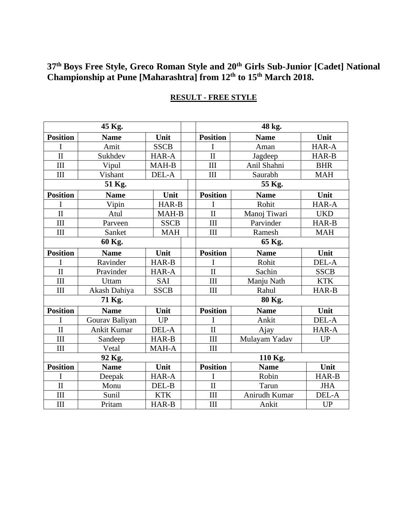**37 th Boys Free Style, Greco Roman Style and 20th Girls Sub-Junior [Cadet] National Championship at Pune [Maharashtra] from 12th to 15 th March 2018.**

| 45 Kg.                  |                    |             |  | 48 kg.                  |               |             |  |
|-------------------------|--------------------|-------------|--|-------------------------|---------------|-------------|--|
| <b>Position</b>         | <b>Name</b>        | Unit        |  | <b>Position</b>         | <b>Name</b>   | Unit        |  |
| I                       | Amit               | <b>SSCB</b> |  | I                       | Aman          | HAR-A       |  |
| $\mathbf{I}$            | Sukhdev            | HAR-A       |  | $\overline{\mathbf{H}}$ | Jagdeep       | HAR-B       |  |
| III                     | Vipul              | MAH-B       |  | III                     | Anil Shahni   | <b>BHR</b>  |  |
| III                     | Vishant            | DEL-A       |  | III                     | Saurabh       | <b>MAH</b>  |  |
| 51 Kg.                  |                    |             |  | 55 Kg.                  |               |             |  |
| <b>Position</b>         | <b>Name</b>        | Unit        |  | <b>Position</b>         | <b>Name</b>   | Unit        |  |
| I                       | Vipin              | HAR-B       |  | I                       | Rohit         | HAR-A       |  |
| $\overline{\mathbf{H}}$ | Atul               | MAH-B       |  | $\overline{\mathbf{H}}$ | Manoj Tiwari  | <b>UKD</b>  |  |
| III                     | Parveen            | <b>SSCB</b> |  | III                     | Parvinder     | HAR-B       |  |
| III                     | Sanket             | <b>MAH</b>  |  | III                     | Ramesh        | <b>MAH</b>  |  |
| 60 Kg.                  |                    |             |  | 65 Kg.                  |               |             |  |
| <b>Position</b>         | <b>Name</b>        | Unit        |  | <b>Position</b>         | <b>Name</b>   | Unit        |  |
| I                       | Ravinder           | HAR-B       |  | I                       | Rohit         | DEL-A       |  |
| $\overline{\rm II}$     | Pravinder          | HAR-A       |  | $\overline{\rm II}$     | Sachin        | <b>SSCB</b> |  |
| III                     | Uttam              | SAI         |  | III                     | Manju Nath    | <b>KTK</b>  |  |
| III                     | Akash Dahiya       | <b>SSCB</b> |  | III                     | Rahul         | HAR-B       |  |
| 71 Kg.                  |                    |             |  | 80 Kg.                  |               |             |  |
| <b>Position</b>         | <b>Name</b>        | Unit        |  | <b>Position</b>         | <b>Name</b>   | Unit        |  |
| I                       | Gourav Baliyan     | <b>UP</b>   |  | I                       | Ankit         | DEL-A       |  |
| $\mathbf{I}$            | <b>Ankit Kumar</b> | DEL-A       |  | $\mathbf{I}$            | Ajay          | HAR-A       |  |
| III                     | Sandeep            | HAR-B       |  | III                     | Mulayam Yadav | <b>UP</b>   |  |
| III                     | Vetal              | MAH-A       |  | III                     |               |             |  |
| 92 Kg.                  |                    |             |  | 110 Kg.                 |               |             |  |
| <b>Position</b>         | <b>Name</b>        | Unit        |  | <b>Position</b>         | <b>Name</b>   | Unit        |  |
| I                       | Deepak             | HAR-A       |  | I                       | Robin         | HAR-B       |  |
| $\overline{\mathbf{H}}$ | Monu               | DEL-B       |  | $\overline{\rm II}$     | Tarun         | <b>JHA</b>  |  |
| III                     | Sunil              | <b>KTK</b>  |  | III                     | Anirudh Kumar | DEL-A       |  |
| III                     | Pritam             | HAR-B       |  | III                     | Ankit         | <b>UP</b>   |  |

# **RESULT - FREE STYLE**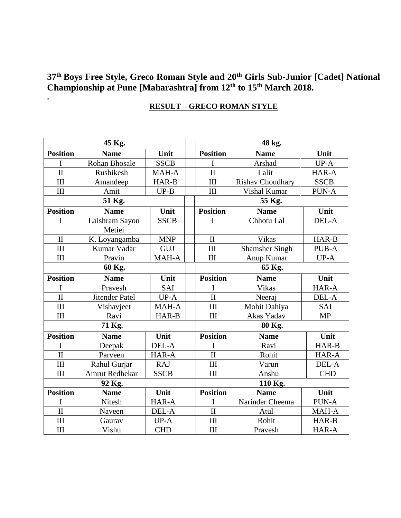## **37th Boys Free Style, Greco Roman Style and 20th Girls Sub-Junior [Cadet] National Championship at Pune [Maharashtra] from 12th to 15th March 2018.**

#### **45 Kg. 48 kg. Position Name Unit Position Name Unit** I Rohan Bhosale SSCB | I | Arshad | UP-A II Rushikesh MAH-A II Lalit HAR-A III Amandeep HAR-B III Rishav Choudhary SSCB III Amit UP-B III Vishal Kumar PUN-A **51 Kg. 55 Kg. Position Name Unit Position Name Unit** I Laishram Sayon Metiei SSCB | | I | Chhotu Lal DEL-A II | K. Loyangamba | MNP | | II | Vikas | HAR-B III Kumar Vadar GUJ III Shamsher Singh PUB-A III | Pravin | MAH-A | | III | Anup Kumar | UP-A **60 Kg. 65 Kg. Position Name Unit Position Name Unit** I Pravesh | SAI | | I | Vikas | HAR-A II Jitender Patel UP-A II Neeraj DEL-A III Vishavjeet | MAH-A | | III | Mohit Dahiya | SAI III | Ravi | HAR-B | | III | Akas Yadav | MP **71 Kg. 80 Kg. Position Name Unit Position Name Unit** I Deepak DEL-A II Ravi HAR-B II Parveen HAR-A II Rohit HAR-A III Rahul Gurjar RAJ III Varun DEL-A III | Amrut Redhekar | SSCB | | III | Anshu | CHD **92 Kg. 110 Kg. Position Name Unit Position Name Unit** I | Nitesh | HAR-A | | I | Narinder Cheema | PUN-A II Naveen DEL-A II Atul MAH-A III Gaurav UP-A III Rohit HAR-B III | Vishu | CHD | | III | Pravesh | HAR-A

#### **RESULT – GRECO ROMAN STYLE**

**.**